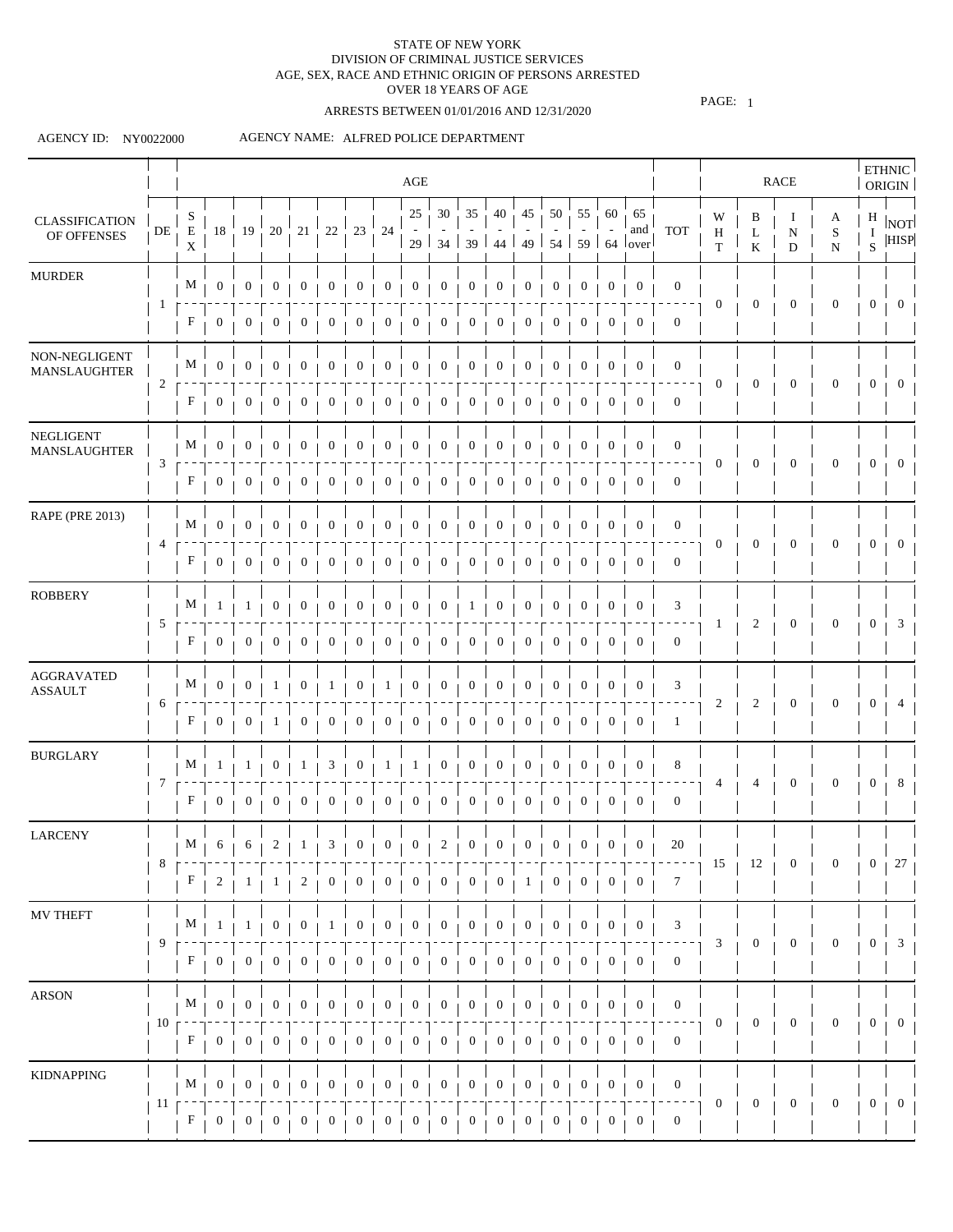# ARRESTS BETWEEN 01/01/2016 AND 12/31/2020

PAGE: 1

### AGENCY ID: NY0022000

|                                      |                 |                           |                  |                  |                  |                  |                  |                  |                  | $\rm{AGE}$       |                             |                       |                  |                  |                  |                  |                  |                                                                         |                  |                  |                  | <b>RACE</b>                  |                               |                | <b>ETHNIC</b><br>ORIGIN           |
|--------------------------------------|-----------------|---------------------------|------------------|------------------|------------------|------------------|------------------|------------------|------------------|------------------|-----------------------------|-----------------------|------------------|------------------|------------------|------------------|------------------|-------------------------------------------------------------------------|------------------|------------------|------------------|------------------------------|-------------------------------|----------------|-----------------------------------|
| <b>CLASSIFICATION</b><br>OF OFFENSES | $\rm DE$        | S<br>E<br>$\mathbf X$     | 18               | 19               | 20               | $21\,$           | $22\,$           | 23               | 24               | 25               | $30\,$<br>$29 \mid 34 \mid$ | 35<br>39 <sup>1</sup> | 40<br>$-44$      | 45               | 50               | 55               | 60               | 65<br>and<br>49   54   59   64   over                                   | <b>TOT</b>       | W<br>Η<br>T      | B<br>L<br>K      | $\bf{l}$<br>$\mathbf N$<br>D | A<br>$\mathbf S$<br>${\bf N}$ | $\rm I$<br>S.  | $\frac{H}{I}$  NOT<br><b>HISP</b> |
| <b>MURDER</b>                        |                 | M                         | $\mathbf{0}$     | $\boldsymbol{0}$ | $\mathbf{0}$     | $\mathbf{0}$     | $\mathbf{0}$     | $\mathbf{0}$     | $\mathbf{0}$     | $\boldsymbol{0}$ | $\boldsymbol{0}$            | $\boldsymbol{0}$      | $\bf{0}$         | $\boldsymbol{0}$ | $\boldsymbol{0}$ | $\mathbf{0}$     | $\mathbf{0}$     | $\mathbf{0}$                                                            | $\overline{0}$   |                  |                  |                              |                               |                |                                   |
|                                      |                 | F                         | $\overline{0}$   | 0                | 0                | 0                | 0                | 0                | $\bf{0}$         | $\mathbf{0}$     | 0                           | $\mathbf{0}$          | $\bf{0}$         | $\boldsymbol{0}$ | $\boldsymbol{0}$ | $\mathbf{0}$     | $\overline{0}$   | $\mathbf{0}$                                                            | $\boldsymbol{0}$ | 0                | $\mathbf{0}$     | $\boldsymbol{0}$             | $\mathbf{0}$                  | 0              | -0                                |
| NON-NEGLIGENT<br>MANSLAUGHTER        |                 | M                         | $\overline{0}$   | $\mathbf{0}$     | $\boldsymbol{0}$ | $\mathbf{0}$     | 0                | $\mathbf{0}$     | $\boldsymbol{0}$ | $\boldsymbol{0}$ | 0                           | 0                     | $\mathbf{0}$     | $\boldsymbol{0}$ | $\boldsymbol{0}$ | 0                | $\boldsymbol{0}$ | $\mathbf{0}$                                                            | $\mathbf{0}$     |                  |                  |                              |                               |                |                                   |
|                                      | 2               | F                         | $\overline{0}$   | $\mathbf{0}$     | $\mathbf{0}$     | 0                | $\mathbf{0}$     | $\mathbf{0}$     | $\mathbf{0}$     | $\boldsymbol{0}$ | $\boldsymbol{0}$            | $\boldsymbol{0}$      | 0                | $\boldsymbol{0}$ | $\boldsymbol{0}$ | 0                | 0                | $\mathbf{0}$                                                            | $\mathbf{0}$     | $\overline{0}$   | $\boldsymbol{0}$ | $\mathbf{0}$                 | $\mathbf{0}$                  | $\overline{0}$ | $\overline{0}$                    |
| NEGLIGENT<br>MANSLAUGHTER            |                 | M                         | $\boldsymbol{0}$ | $\boldsymbol{0}$ | 0                | 0                | $\boldsymbol{0}$ | $\boldsymbol{0}$ | $\boldsymbol{0}$ | $\mathbf{0}$     | 0                           | $\boldsymbol{0}$      | $\bf{0}$         | $\boldsymbol{0}$ | $\mathbf{0}$     | $\bf{0}$         | $\boldsymbol{0}$ | 0                                                                       | $\mathbf{0}$     |                  |                  |                              |                               |                |                                   |
|                                      | 3               | F                         | $\overline{0}$   | $\mathbf{0}$     | $\boldsymbol{0}$ | $\boldsymbol{0}$ | 0                | $\boldsymbol{0}$ | $\bf{0}$         | $\mathbf{0}$     | $\boldsymbol{0}$            | $\boldsymbol{0}$      | $\theta$         | $\boldsymbol{0}$ | 0                |                  | 0                | $\mathbf{0}$                                                            | $\overline{0}$   | 0                | 0                | $\mathbf{0}$                 | 0                             | 0              | $\theta$                          |
| <b>RAPE (PRE 2013)</b>               |                 | M                         | $\mathbf{0}$     | $\overline{0}$   | $\mathbf{0}$     | $\mathbf{0}$     | $\bf{0}$         | $\mathbf{0}$     | $\overline{0}$   | $\boldsymbol{0}$ | $\overline{0}$              | $\overline{0}$        | $\overline{0}$   | $\boldsymbol{0}$ | $\mathbf{0}$     | 0                | $\boldsymbol{0}$ | $\overline{0}$                                                          | $\overline{0}$   |                  |                  |                              |                               |                |                                   |
|                                      | 4               | F                         | $\overline{0}$   | $\boldsymbol{0}$ | $\boldsymbol{0}$ | $\mathbf{0}$     | $\bf{0}$         | $\mathbf{0}$     | $\bf{0}$         | $\boldsymbol{0}$ | $\mathbf{0}$                | $\overline{0}$        | $\overline{0}$   | $\mathbf{0}$     | $\mathbf 0$      | 0                | 0                | $\mathbf{0}$                                                            | $\overline{0}$   | $\mathbf{0}$     | $\mathbf{0}$     | $\mathbf{0}$                 | $\boldsymbol{0}$              | $\mathbf{0}$   | $\overline{0}$                    |
| <b>ROBBERY</b>                       |                 | M                         | -1               | 1                | 0                | $\mathbf{0}$     | $\mathbf{0}$     | $\boldsymbol{0}$ | $\boldsymbol{0}$ | $\boldsymbol{0}$ | $\boldsymbol{0}$            | -1                    | $\boldsymbol{0}$ | $\boldsymbol{0}$ | $\boldsymbol{0}$ | $\mathbf{0}$     | $\boldsymbol{0}$ | $\mathbf{0}$                                                            | 3                |                  |                  |                              |                               |                |                                   |
|                                      | 5               | F                         | $\overline{0}$   | $\mathbf{0}$     | $\theta$         | $\mathbf{0}$     | $\boldsymbol{0}$ | $\mathbf{0}$     | $\mathbf{0}$     | $\boldsymbol{0}$ | $\mathbf{0}$                | $\overline{0}$        | $\boldsymbol{0}$ | $\mathbf{0}$     | $\mathbf{0}$     | $\mathbf{0}$     | $\mathbf{0}$     | $\mathbf{0}$                                                            | $\mathbf{0}$     |                  | 2                | $\boldsymbol{0}$             | $\mathbf{0}$                  | 0              | 3                                 |
| <b>AGGRAVATED</b><br><b>ASSAULT</b>  |                 | M                         | $\mathbf{0}$     | $\overline{0}$   | -1               | 0                | $\perp$          | $\overline{0}$   | 1                | $\overline{0}$   | $\overline{0}$              | $\overline{0}$        | $\overline{0}$   | $\overline{0}$   | $\overline{0}$   | $\overline{0}$   | $\mathbf{0}$     | $\overline{0}$                                                          | 3                |                  |                  |                              |                               |                |                                   |
|                                      | 6               | F                         | $\overline{0}$   | $\overline{0}$   | 1                | $\mathbf{0}$     | 0                | $\mathbf{0}$     | $\overline{0}$   | $\boldsymbol{0}$ | $\boldsymbol{0}$            | $\overline{0}$        | $\overline{0}$   | $\overline{0}$   | $\boldsymbol{0}$ | $\overline{0}$   | $\overline{0}$   | $\boldsymbol{0}$                                                        | $\mathbf{1}$     | 2                | 2                | $\boldsymbol{0}$             | $\mathbf{0}$                  | $\mathbf{0}$   | 4                                 |
| <b>BURGLARY</b>                      |                 | M                         | 1                | 1                | $\boldsymbol{0}$ | 1                | 3                | $\boldsymbol{0}$ | 1                | 1                | $\boldsymbol{0}$            | $\mathbf{0}$          | $\overline{0}$   | $\overline{0}$   | $\overline{0}$   | $\mathbf{0}$     | $\boldsymbol{0}$ | $\overline{0}$                                                          | 8                |                  |                  |                              |                               |                |                                   |
|                                      | 7               | $\boldsymbol{\mathrm{F}}$ | $\overline{0}$   | $\overline{0}$   | $\overline{0}$   | $\overline{0}$   | $\overline{0}$   | $\overline{0}$   | $\overline{0}$   | $\mathbf{0}$     | $\boldsymbol{0}$            | $\overline{0}$        | $\overline{0}$   | $\overline{0}$   | $\overline{0}$   | $\overline{0}$   | $\overline{0}$   | $\overline{0}$                                                          | $\overline{0}$   | 4                |                  | $\boldsymbol{0}$             | $\mathbf{0}$                  | $\mathbf{0}$   | 8                                 |
| <b>LARCENY</b>                       |                 |                           |                  |                  |                  |                  |                  |                  |                  |                  |                             |                       |                  |                  |                  |                  |                  | $M + 6 + 6 + 2 + 1 + 3 + 0 + 0 + 0 + 2 + 0 + 0 + 0 + 0 + 0 + 0 + 0 + 0$ | 20               |                  |                  |                              |                               |                |                                   |
|                                      | 8               | $\mathbf{F}$              | $\mathbf{2}$     | 1                | $\mathbf{1}$     | $\overline{c}$   | $\mathbf{0}$     | $\overline{0}$   | $\overline{0}$   | $\boldsymbol{0}$ | $\mathbf{0}$                | $\overline{0}$        | $\overline{0}$   | $\mathbf{1}$     | $\mathbf{0}$     | $\mathbf{0}$     | 0 <sub>1</sub>   | $\overline{0}$                                                          | $7\phantom{.0}$  | 15               | 12               | $\boldsymbol{0}$             | 0                             |                | $0 + 27$                          |
| MV THEFT                             |                 | $M_{\odot}$               | 1                | 1                | $\boldsymbol{0}$ | 0                | 1                | $\mathbf{0}$     | $\boldsymbol{0}$ | $\boldsymbol{0}$ | $\mathbf{0}$                | $\boldsymbol{0}$      | $\overline{0}$   | $\mathbf{0}$     | $\mathbf{0}$     | $\mathbf{0}$     | $\boldsymbol{0}$ | $\boldsymbol{0}$                                                        | 3                |                  |                  |                              |                               |                |                                   |
|                                      | 9               | $F_{\perp}$               | $\mathbf{0}$     | $\overline{0}$   | 0                | 0                | 0                | $\mathbf{0}$     | 0                | $\boldsymbol{0}$ | $\boldsymbol{0}$            | $\overline{0}$        | $\mathbf{0}$     | $\mathbf{0}$     | $\mathbf{0}$     | 0                | $\overline{0}$   | $\overline{0}$                                                          | $\overline{0}$   | 3                | $\boldsymbol{0}$ | $\boldsymbol{0}$             | $\boldsymbol{0}$              | $\overline{0}$ | $\overline{\mathbf{3}}$           |
| <b>ARSON</b>                         |                 | M                         | $\overline{0}$   | $\boldsymbol{0}$ | $\theta$         | $\boldsymbol{0}$ | 0                | $\mathbf{0}$     | $\boldsymbol{0}$ | $\boldsymbol{0}$ | $\boldsymbol{0}$            | $\mathbf{0}$          | $\bf{0}$         | $\boldsymbol{0}$ | $\mathbf{0}$     | $\boldsymbol{0}$ | $\boldsymbol{0}$ | $\boldsymbol{0}$                                                        | $\overline{0}$   |                  |                  |                              |                               |                |                                   |
|                                      | 10 <sub>1</sub> | F                         | $\overline{0}$   | $\overline{0}$   | 0                | 0                | 0                | $\mathbf{0}$     | $\overline{0}$   | $\mathbf{0}$     | $\overline{0}$              | $\overline{0}$        | $\mathbf{0}$     | $\overline{0}$   | $\boldsymbol{0}$ | $\boldsymbol{0}$ | $\overline{0}$   | $\boldsymbol{0}$                                                        | $\overline{0}$   | $\boldsymbol{0}$ | $\mathbf{0}$     | $\boldsymbol{0}$             | $\boldsymbol{0}$              | 0              | $\bf{0}$                          |
| <b>KIDNAPPING</b>                    |                 | M                         | $\mathbf{0}$     | $\overline{0}$   | $\boldsymbol{0}$ | $\boldsymbol{0}$ | 0                | $\boldsymbol{0}$ | $\boldsymbol{0}$ | $\boldsymbol{0}$ | $\boldsymbol{0}$            | $\mathbf{0}$          | $\boldsymbol{0}$ | $\boldsymbol{0}$ | $\boldsymbol{0}$ | $\boldsymbol{0}$ | $\boldsymbol{0}$ | $\overline{0}$                                                          | $\overline{0}$   |                  |                  |                              |                               |                |                                   |
|                                      | 11 <sub>1</sub> | F                         | $\overline{0}$   | $\overline{0}$   | $\overline{0}$   | 0                | 0                | 0                | $\mathbf{0}$     | $\boldsymbol{0}$ | $\boldsymbol{0}$            | $\mathbf{0}$          | 0                | $\mathbf{0}$     | 0                | $\boldsymbol{0}$ | 0                | $\boldsymbol{0}$                                                        | $\overline{0}$   | $\mathbf{0}$     | $\boldsymbol{0}$ | $\mathbf{0}$                 | $\boldsymbol{0}$              | $\overline{0}$ | $\overline{0}$                    |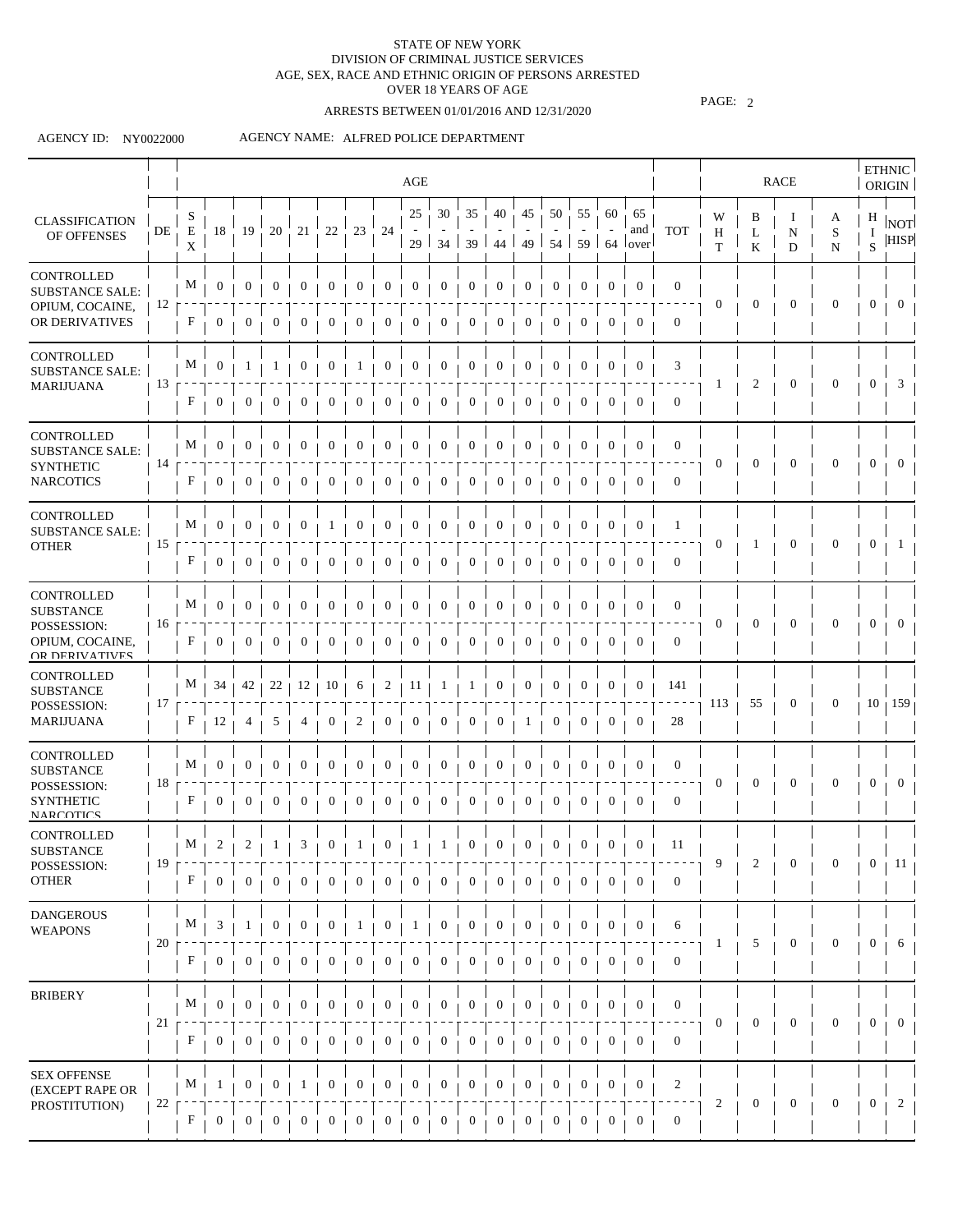# ARRESTS BETWEEN 01/01/2016 AND 12/31/2020

PAGE: 2

### AGENCY ID: NY0022000

|                                                      |    |                           |                  |                  |                   |                  |                  |                  |                  | AGE                   |                  |                         |                  |                  |                  |                  |                  |                                           |                  |                  |                  | RACE                   |                     |                | ETHNIC<br><b>ORIGIN</b>   |
|------------------------------------------------------|----|---------------------------|------------------|------------------|-------------------|------------------|------------------|------------------|------------------|-----------------------|------------------|-------------------------|------------------|------------------|------------------|------------------|------------------|-------------------------------------------|------------------|------------------|------------------|------------------------|---------------------|----------------|---------------------------|
| <b>CLASSIFICATION</b><br>OF OFFENSES                 | DE | S<br>${\bf E}$<br>X       | 18               | 19               | 20                | 21               | $22\,$           | $23\,$           | 24               | 25<br>29 <sup>1</sup> | 30               | 35<br>$34 \mid 39 \mid$ | 40<br>44         | 45<br>49         | 50               | 55               | 60               | 65<br>and<br>$54$   59   64   over        | <b>TOT</b>       | W<br>H<br>T      | B<br>L<br>K      | Ι.<br>$\mathbf N$<br>D | A<br>S<br>${\bf N}$ | Н<br>1<br>S    | <b>NOT</b><br><b>HISP</b> |
| CONTROLLED<br><b>SUBSTANCE SALE:</b>                 |    | М                         | $\overline{0}$   | $\boldsymbol{0}$ | $\overline{0}$    | $\boldsymbol{0}$ | $\boldsymbol{0}$ | $\overline{0}$   | $\boldsymbol{0}$ | $\overline{0}$        | $\mathbf{0}$     | $\boldsymbol{0}$        | $\boldsymbol{0}$ | $\boldsymbol{0}$ | $\boldsymbol{0}$ | $\overline{0}$   | $\boldsymbol{0}$ | $\boldsymbol{0}$                          | $\mathbf{0}$     |                  |                  |                        |                     |                |                           |
| OPIUM, COCAINE,<br>OR DERIVATIVES                    | 12 | F                         | $\overline{0}$   | $\mathbf{0}$     | $\theta$          | $\boldsymbol{0}$ | $\boldsymbol{0}$ | $\theta$         | $\mathbf{0}$     | 0                     | $\mathbf{0}$     | $\boldsymbol{0}$        | 0                | 0                | $\mathbf{0}$     | 0                | $\boldsymbol{0}$ | $\boldsymbol{0}$                          | $\boldsymbol{0}$ | $\boldsymbol{0}$ | $\boldsymbol{0}$ | $\boldsymbol{0}$       | $\boldsymbol{0}$    | $\mathbf{0}$   | $\theta$                  |
| <b>CONTROLLED</b><br><b>SUBSTANCE SALE:</b>          |    | M                         | $\boldsymbol{0}$ | 1                |                   | $\boldsymbol{0}$ | 0                | 1                | $\boldsymbol{0}$ | 0                     | $\boldsymbol{0}$ | $\boldsymbol{0}$        | $\boldsymbol{0}$ | $\boldsymbol{0}$ | $\mathbf{0}$     | $\mathbf{0}$     | $\boldsymbol{0}$ | $\mathbf{0}$                              | 3                |                  |                  |                        |                     |                |                           |
| <b>MARIJUANA</b>                                     | 13 | F                         | $\boldsymbol{0}$ | 0                | $\theta$          | 0                | 0                | $\bf{0}$         | 0                | 0                     | $\mathbf{0}$     | $\bf{0}$                | $\mathbf{0}$     | $\mathbf{0}$     | $\boldsymbol{0}$ | $\mathbf{0}$     | $\mathbf{0}$     | $\mathbf{0}$                              | $\mathbf{0}$     | -1               | $\overline{2}$   | $\boldsymbol{0}$       | $\theta$            | $\mathbf{0}$   | 3                         |
| CONTROLLED<br><b>SUBSTANCE SALE:</b>                 |    | $M_{\perp}$               | $\mathbf{0}$     | $\boldsymbol{0}$ | $\bf{0}$          | $\boldsymbol{0}$ | $\boldsymbol{0}$ | $\boldsymbol{0}$ | 0                | $\mathbf{0}$          | $\bf{0}$         | $\bf{0}$                | $\boldsymbol{0}$ | $\mathbf{0}$     | $\bf{0}$         | $\bf{0}$         | $\boldsymbol{0}$ | $\boldsymbol{0}$                          | $\boldsymbol{0}$ |                  |                  |                        |                     |                |                           |
| <b>SYNTHETIC</b><br><b>NARCOTICS</b>                 | 14 | F                         | $\boldsymbol{0}$ | 0                |                   | $\boldsymbol{0}$ | 0                | 0                | 0                | $\boldsymbol{0}$      | 0                | 0                       | 0                | 0                | $\boldsymbol{0}$ | $\sigma$         | 0                | $\boldsymbol{0}$                          | $\boldsymbol{0}$ | $\overline{0}$   | $\mathbf{0}$     | $\mathbf{0}$           | $\mathbf{0}$        | $\mathbf{0}$   | $\Omega$                  |
| CONTROLLED<br><b>SUBSTANCE SALE:</b>                 |    | M                         | $\boldsymbol{0}$ | 0                | $\bf{0}$          | $\theta$         |                  | $\bf{0}$         | 0                | $\bf{0}$              | 0                | $\theta$                | $\boldsymbol{0}$ | $\mathbf{0}$     | $\bf{0}$         | $\bf{0}$         | $\boldsymbol{0}$ | $\boldsymbol{0}$                          | $\mathbf{1}$     |                  |                  |                        |                     |                |                           |
| <b>OTHER</b>                                         | 15 | F                         | $\boldsymbol{0}$ | 0                |                   | $\bf{0}$         | 0                |                  | 0                | $\bf{0}$              | 0                | 0                       | $\theta$         | 0                | $\bf{0}$         | $\theta$         | $\bf{0}$         | $\theta$                                  | $\boldsymbol{0}$ | 0                | 1                | $\mathbf{0}$           | 0                   | $\overline{0}$ |                           |
| <b>CONTROLLED</b><br><b>SUBSTANCE</b><br>POSSESSION: | 16 | $M_{\perp}$               | $\bf{0}$         | $\bf{0}$         | $\boldsymbol{0}$  | $\theta$         | 0                | $\mathbf 0$      | $\bf{0}$         | $\theta$              | $\boldsymbol{0}$ | $\boldsymbol{0}$        | $\theta$         | $\boldsymbol{0}$ | $\bf{0}$         | $\theta$         | $\theta$         | $\boldsymbol{0}$                          | $\boldsymbol{0}$ | $\bf{0}$         | $\mathbf{0}$     | $\mathbf{0}$           | 0                   | 0              | $\theta$                  |
| OPIUM, COCAINE,<br>OR DERIVATIVES                    |    | F                         | $\bf{0}$         | $\bf{0}$         | $\bf{0}$          | $\boldsymbol{0}$ | $\bf{0}$         | $\bf{0}$         | 0                | 0                     | $\boldsymbol{0}$ | $\bf{0}$                | 0                | $\overline{0}$   | $\boldsymbol{0}$ | 0                | $\boldsymbol{0}$ | $\mathbf{0}$                              | $\mathbf{0}$     |                  |                  |                        |                     |                |                           |
| CONTROLLED<br><b>SUBSTANCE</b><br>POSSESSION:        | 17 | $M_{\perp}$               | 34               | 42               | 22                | 12               | 10               | 6                | 2                | 11                    |                  |                         | $\bf{0}$         | 0                | $\bf{0}$         | $\theta$         | $\boldsymbol{0}$ | $\boldsymbol{0}$                          | 141              | 113              | 55               | $\mathbf{0}$           | $\mathbf{0}$        |                | $10 + 159$                |
| <b>MARIJUANA</b>                                     |    | F                         | 12               | 4                | $\mathcal{L}$     |                  | 0                | 2                | 0                | $\boldsymbol{0}$      | 0                | $\sigma$                | 0                | $\perp$          | $\boldsymbol{0}$ | $\theta$         | 0                | $\boldsymbol{0}$                          | 28               |                  |                  |                        |                     |                |                           |
| CONTROLLED<br><b>SUBSTANCE</b>                       | 18 | M                         | $\bf{0}$         | $\bf{0}$         | $\theta$          |                  | 0                | 0                | 0                | $\bf{0}$              | $\theta$         | 0                       | $\theta$         | $\mathbf{0}$     | $\mathbf{0}$     | $\theta$         | $\bf{0}$         | $\boldsymbol{0}$                          | $\boldsymbol{0}$ | $\mathbf{0}$     | $\overline{0}$   | $\boldsymbol{0}$       | 0                   | $\overline{0}$ | $\bf{0}$                  |
| POSSESSION:<br><b>SYNTHETIC</b><br>NARCOTICS         |    | $\boldsymbol{\mathrm{F}}$ | $\boldsymbol{0}$ | $\bf{0}$         | $\theta$          | 0                | 0                | $\theta$         | 0                | 0                     | $\boldsymbol{0}$ | $\bf{0}$                | $\bf{0}$         | $\boldsymbol{0}$ | $\mathbf{0}$     | $\bf{0}$         | $\theta$         | $\mathbf{0}$                              | $\mathbf{0}$     |                  |                  |                        |                     |                |                           |
| CONTROLLED<br>SUBSTANCE                              | 19 |                           | $M + 2$          |                  | $2 + 1 + 3 + 0 +$ |                  |                  | 1 <sub>1</sub>   |                  |                       |                  |                         |                  |                  |                  |                  |                  | $0 + 1 + 1 + 0 + 0 + 0 + 0 + 0 + 0 + 0 +$ | 11               | 9                | 2                | $\boldsymbol{0}$       | $\boldsymbol{0}$    | $\overline{0}$ | $\vert$ 11                |
| POSSESSION:<br><b>OTHER</b>                          |    | F                         | $\overline{0}$   | $\mathbf{0}$     | $\boldsymbol{0}$  | $\overline{0}$   | $\overline{0}$   | $\overline{0}$   | $\overline{0}$   | $\boldsymbol{0}$      | $\overline{0}$   | $\overline{0}$          | $\overline{0}$   | $\overline{0}$   | $\mathbf{0}$     | $\overline{0}$   | $\overline{0}$   | $\overline{0}$                            | $\mathbf{0}$     |                  |                  |                        |                     |                |                           |
| <b>DANGEROUS</b><br><b>WEAPONS</b>                   |    | M                         | 3                | 1                | $\mathbf{0}$      | 0                | $\boldsymbol{0}$ | 1                | $\boldsymbol{0}$ | 1                     | $\boldsymbol{0}$ | $\boldsymbol{0}$        | $\boldsymbol{0}$ | $\overline{0}$   | $\boldsymbol{0}$ | $\overline{0}$   | $\boldsymbol{0}$ | $\mathbf{0}$                              | 6                |                  |                  |                        |                     |                |                           |
|                                                      | 20 | F                         | $\overline{0}$   | $\mathbf{0}$     | $\boldsymbol{0}$  | $\boldsymbol{0}$ | $\boldsymbol{0}$ | $\overline{0}$   | $\overline{0}$   | $\boldsymbol{0}$      | $\boldsymbol{0}$ | $\boldsymbol{0}$        | $\boldsymbol{0}$ | $\boldsymbol{0}$ | $\boldsymbol{0}$ | $\overline{0}$   | $\boldsymbol{0}$ | $\mathbf{0}$                              | $\mathbf{0}$     | 1                | 5                | $\mathbf{0}$           | $\mathbf{0}$        | $\mathbf{0}$   | 6                         |
| <b>BRIBERY</b>                                       |    | $M_{\perp}$               | $\overline{0}$   | $\overline{0}$   | $\overline{0}$    | $\boldsymbol{0}$ | $\overline{0}$   | $\mathbf{0}$     | $\overline{0}$   | $\boldsymbol{0}$      | $\overline{0}$   | $\boldsymbol{0}$        | $\boldsymbol{0}$ | $\overline{0}$   | $\overline{0}$   | $\overline{0}$   | $\boldsymbol{0}$ | $\boldsymbol{0}$                          | $\boldsymbol{0}$ |                  |                  |                        |                     |                |                           |
|                                                      | 21 | $F_{\perp}$               | 0 <sub>1</sub>   | 0 <sub>1</sub>   | $\overline{0}$    | $\overline{0}$   | $\overline{0}$   | $\mathbf{0}$     | $\mathbf{0}$     | $\boldsymbol{0}$      | $\overline{0}$   | $\boldsymbol{0}$        | $\overline{0}$   | $\boldsymbol{0}$ | $\overline{0}$   | $\overline{0}$   | $\boldsymbol{0}$ | $\overline{0}$                            | $\boldsymbol{0}$ | $\boldsymbol{0}$ | $\boldsymbol{0}$ | $\boldsymbol{0}$       | $\mathbf{0}$        | $\mathbf{0}$   | $\overline{0}$            |
| <b>SEX OFFENSE</b><br>(EXCEPT RAPE OR                |    | M                         | -1               | $\boldsymbol{0}$ | $\boldsymbol{0}$  | $\mathbf{1}$     | $\boldsymbol{0}$ | $\boldsymbol{0}$ | $\boldsymbol{0}$ | $\boldsymbol{0}$      | $\boldsymbol{0}$ | $\boldsymbol{0}$        | $\boldsymbol{0}$ | $\boldsymbol{0}$ | $\boldsymbol{0}$ | $\boldsymbol{0}$ | $\boldsymbol{0}$ | $\boldsymbol{0}$                          | $\overline{c}$   |                  |                  |                        |                     |                |                           |
| PROSTITUTION)                                        | 22 | F                         | 0                | 0                | $\theta$          | $\mathbf{0}$     | $\mathbf{0}$     | $\overline{0}$   | 0                | $\boldsymbol{0}$      | $\mathbf{0}$     | $\overline{0}$          | $\overline{0}$   | $\overline{0}$   | $\overline{0}$   | $\overline{0}$   | $\mathbf{0}$     | $\mathbf{0}$                              | $\mathbf{0}$     | 2                | $\boldsymbol{0}$ | $\boldsymbol{0}$       | $\mathbf{0}$        | $\mathbf{0}$   | $\overline{2}$            |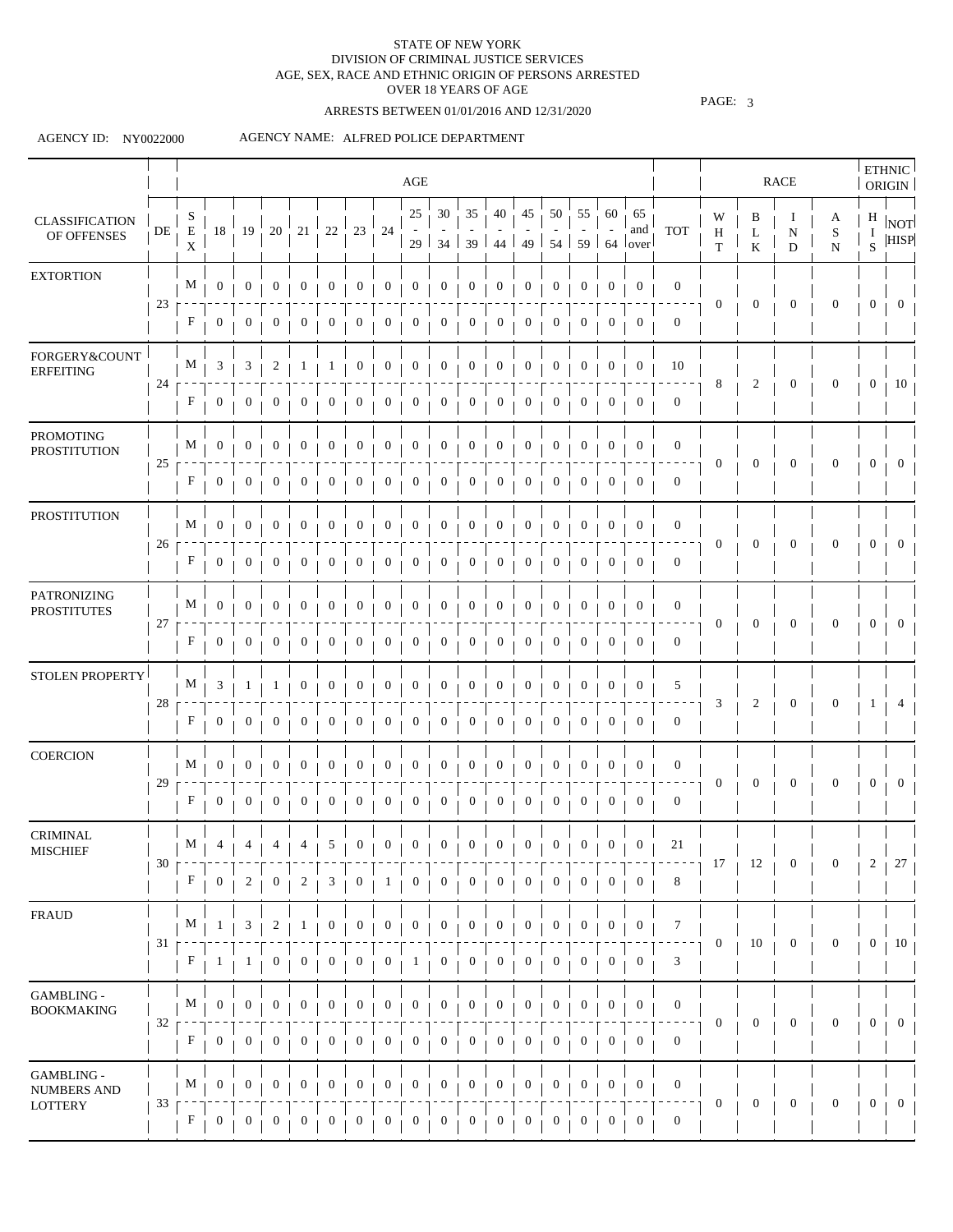# ARRESTS BETWEEN 01/01/2016 AND 12/31/2020

PAGE: 3

#### AGENCY ID: NY0022000

|                                          |                 |                                 |                  |                  |                  |                  |                  |                  |                  | AGE                   |                  |                      |                  |                  |                  |                  |                  |                                             |                                              |                                  |                | <b>RACE</b>                      |                     |                        | <b>ETHNIC</b><br>ORIGIN |
|------------------------------------------|-----------------|---------------------------------|------------------|------------------|------------------|------------------|------------------|------------------|------------------|-----------------------|------------------|----------------------|------------------|------------------|------------------|------------------|------------------|---------------------------------------------|----------------------------------------------|----------------------------------|----------------|----------------------------------|---------------------|------------------------|-------------------------|
| <b>CLASSIFICATION</b><br>OF OFFENSES     | DE              | S<br>$\mathbf E$<br>$\mathbf X$ | 18               | 19               | 20               | 21               | $22\,$           | 23               | 24               | 25<br>29 <sup>1</sup> | 30               | 35<br>$34$   39   44 | 40               | 45<br>49 l       | 50               | 55               | 60               | 65<br>and<br>$54 \mid 59 \mid 64 \mid over$ | <b>TOT</b>                                   | W<br>$\, {\rm H}$<br>$\mathbf T$ | B<br>L<br>K    | Ι.<br>$\mathbf N$<br>$\mathbf D$ | A<br>S<br>${\bf N}$ | H<br>Ι.<br>$\mathbf S$ | NOT<br><b>HISP</b>      |
| <b>EXTORTION</b>                         |                 | M                               | $\mathbf{0}$     | $\boldsymbol{0}$ | $\bf{0}$         | $\boldsymbol{0}$ | 0                | $\theta$         | $\mathbf{0}$     | $\mathbf{0}$          | $\boldsymbol{0}$ | $\boldsymbol{0}$     | $\boldsymbol{0}$ | $\mathbf{0}$     | $\bf{0}$         | $\theta$         | $\bf{0}$         | $\boldsymbol{0}$                            | $\boldsymbol{0}$                             |                                  |                |                                  |                     |                        |                         |
|                                          | 23              | F                               | $\boldsymbol{0}$ | $\bf{0}$         | $\theta$         | 0                | $\theta$         | 0                | 0                | $\theta$              | 0                | $\sigma$             | $\theta$         | 0                | $\bf{0}$         | $\theta$         | 0                | $\mathbf{0}$                                | $\mathbf{0}$                                 | $\boldsymbol{0}$                 | $\mathbf{0}$   | $\mathbf{0}$                     | $\theta$            | $\theta$               | $\bf{0}$                |
| FORGERY&COUNT<br><b>ERFEITING</b>        |                 | $M_{\perp}$                     | 3                | 3                | 2                |                  |                  | 0                | 0                | $\mathbf{0}$          | $\mathbf{0}$     | $\boldsymbol{0}$     | $\boldsymbol{0}$ | $\overline{0}$   | $\boldsymbol{0}$ | $\boldsymbol{0}$ | 0                | $\mathbf{0}$                                | 10                                           |                                  |                |                                  |                     |                        |                         |
|                                          | 24              | F                               | 0                | $\boldsymbol{0}$ |                  | 0                | 0                | $\boldsymbol{0}$ | $\mathbf{0}$     | $\boldsymbol{0}$      | $\boldsymbol{0}$ | $\boldsymbol{0}$     | $\boldsymbol{0}$ | 0                | $\boldsymbol{0}$ | 0                | $\boldsymbol{0}$ | $\boldsymbol{0}$                            | $\boldsymbol{0}$                             | 8                                | 2              | $\mathbf{0}$                     | $\mathbf{0}$        | $\overline{0}$         | 10                      |
| <b>PROMOTING</b><br><b>PROSTITUTION</b>  |                 | M                               | $\bf{0}$         | $\boldsymbol{0}$ | $\bf{0}$         | $\bf{0}$         | 0                | $\mathbf{0}$     | 0                | $\mathbf{0}$          | $\mathbf{0}$     | $\bf{0}$             | $\boldsymbol{0}$ | $\boldsymbol{0}$ | $\mathbf{0}$     | $\bf{0}$         | 0                | $\boldsymbol{0}$                            | $\boldsymbol{0}$                             |                                  |                |                                  |                     |                        |                         |
|                                          | 25              | F                               | $\boldsymbol{0}$ | $\bf{0}$         |                  |                  | 0                |                  | 0                | $\bf{0}$              | $\bf{0}$         | 0                    | 0                | 0                | $\mathbf{0}$     | $\bf{0}$         | $\mathbf{0}$     | $\mathbf{0}$                                | $\boldsymbol{0}$                             | $\mathbf{0}$                     | $\mathbf{0}$   | $\mathbf{0}$                     | $\mathbf{0}$        | $\mathbf{0}$           | $\overline{0}$          |
| <b>PROSTITUTION</b>                      |                 | $M_{\perp}$                     | $\overline{0}$   | $\boldsymbol{0}$ | $\overline{0}$   | $\boldsymbol{0}$ | $\boldsymbol{0}$ | $\overline{0}$   | $\boldsymbol{0}$ | $\overline{0}$        | $\overline{0}$   | $\overline{0}$       | $\boldsymbol{0}$ | $\overline{0}$   | $\overline{0}$   | $\overline{0}$   | $\boldsymbol{0}$ | $\mathbf{0}$                                | $\overline{0}$                               |                                  |                |                                  |                     |                        |                         |
|                                          | 26              | $\mathbf{F}$                    | $\overline{0}$   | $\overline{0}$   | $\mathbf{0}$     | $\overline{0}$   | $\boldsymbol{0}$ | $\theta$         | $\mathbf{0}$     | 0                     | $\mathbf{0}$     | $\boldsymbol{0}$     | $\bf{0}$         | $\overline{0}$   | $\overline{0}$   | $\mathbf{0}$     | $\boldsymbol{0}$ | $\overline{0}$                              | $\mathbf{0}$                                 | $\mathbf{0}$                     | $\mathbf{0}$   | $\boldsymbol{0}$                 | $\mathbf{0}$        | $\mathbf{0}$           | $\mathbf{0}$            |
| <b>PATRONIZING</b><br><b>PROSTITUTES</b> |                 | M                               | $\mathbf{0}$     | 0                | 0                | $\mathbf{0}$     | 0                | 0                | 0                | 0                     | 0                | $\boldsymbol{0}$     | $\bf{0}$         | $\boldsymbol{0}$ | $\boldsymbol{0}$ | 0                | 0                | $\boldsymbol{0}$                            | $\boldsymbol{0}$                             |                                  |                | $\mathbf{0}$                     | $\mathbf{0}$        |                        | $\overline{0}$          |
|                                          | 27              | F                               | 0                | $\bf{0}$         | $\theta$         | 0                | 0                | $\bf{0}$         | 0                | $\bf{0}$              | 0                | $\bf{0}$             | $\theta$         | $\overline{0}$   | $\overline{0}$   | $\bf{0}$         | $\overline{0}$   | $\mathbf{0}$                                | $\mathbf{0}$                                 | $\mathbf{0}$                     | $\overline{0}$ |                                  |                     | $\mathbf{0}$           |                         |
| STOLEN PROPERTY                          |                 | $M_{\perp}$                     | 3                | -1               |                  | $\bf{0}$         | $\boldsymbol{0}$ | $\theta$         | $\boldsymbol{0}$ | $\mathbf{0}$          | $\bf{0}$         | $\boldsymbol{0}$     | $\bf{0}$         | $\mathbf{0}$     | $\bf{0}$         | $\bf{0}$         | $\mathbf{0}$     | $\boldsymbol{0}$                            | 5                                            |                                  |                |                                  |                     |                        |                         |
|                                          | 28              | F                               | 0                | $\theta$         |                  | $\boldsymbol{0}$ | 0                |                  | $\bf{0}$         | $\bf{0}$              | 0                | U                    | 0                | 0                | $\bf{0}$         |                  | 0                | $\boldsymbol{0}$                            | $\mathbf{0}$                                 | 3                                | 2              | $\boldsymbol{0}$                 | $\boldsymbol{0}$    | J.                     |                         |
| <b>COERCION</b>                          |                 | M                               | $\bf{0}$         |                  |                  |                  |                  |                  | 0                | 0                     | 0                | $\upsilon$           | 0                | 0                | $\theta$         |                  | 0                | $\mathbf 0$                                 | $\boldsymbol{0}$                             |                                  |                |                                  |                     |                        |                         |
|                                          | 29              | $\mathbf{F}$                    | $\boldsymbol{0}$ | $\bf{0}$         | $\theta$         | $\mathbf{0}$     | 0                |                  | 0                | $\boldsymbol{0}$      | 0                | $\theta$             | $\theta$         | 0                | $\bf{0}$         | $\sigma$         | $\bf{0}$         | $\theta$                                    | $\boldsymbol{0}$                             | $\boldsymbol{0}$                 | $\mathbf{0}$   | $\mathbf{0}$                     | $\theta$            | $\mathbf{0}$           | $\Omega$                |
| <b>CRIMINAL</b><br><b>MISCHIEF</b>       |                 |                                 |                  |                  |                  |                  |                  |                  |                  |                       |                  |                      |                  |                  |                  |                  |                  |                                             |                                              |                                  |                |                                  |                     |                        |                         |
|                                          | 30              | F                               | $\bf{0}$         | $\boldsymbol{2}$ | $\boldsymbol{0}$ | 2                | 3                | $\mathbf{0}$     | $\mathbf{1}$     | $\boldsymbol{0}$      | $\boldsymbol{0}$ | $\boldsymbol{0}$     | $\boldsymbol{0}$ | $\boldsymbol{0}$ | $\boldsymbol{0}$ | $\boldsymbol{0}$ | $\boldsymbol{0}$ | $\overline{0}$                              | 8                                            | 17                               | 12             | $\boldsymbol{0}$                 | $\boldsymbol{0}$    | 2                      | 27                      |
| <b>FRAUD</b>                             |                 | M                               | -1               | 3                | 2                | -1               | 0                | $\mathbf{0}$     | 0                | $\boldsymbol{0}$      | $\boldsymbol{0}$ | $\boldsymbol{0}$     | $\mathbf{0}$     | $\boldsymbol{0}$ | $\boldsymbol{0}$ | 0                | $\boldsymbol{0}$ | $\boldsymbol{0}$                            | 7                                            |                                  |                |                                  |                     |                        |                         |
|                                          | 31 <sub>1</sub> | F                               | $\perp$          | 1                | 0                | 0                | 0                | 0                | 0                | $\mathbf{I}$          | $\boldsymbol{0}$ | 0                    | 0                | $\boldsymbol{0}$ | $\boldsymbol{0}$ | $\bf{0}$         | 0                | $\overline{0}$                              | 3                                            | $\boldsymbol{0}$                 | 10             | $\boldsymbol{0}$                 | $\overline{0}$      | $\boldsymbol{0}$       | 10                      |
| GAMBLING -<br><b>BOOKMAKING</b>          |                 | $M_{\perp}$                     | $\boldsymbol{0}$ | $\boldsymbol{0}$ | $\bf{0}$         | $\boldsymbol{0}$ | $\boldsymbol{0}$ | $\mathbf{0}$     | $\boldsymbol{0}$ | 0                     | $\bf{0}$         | $\boldsymbol{0}$     | $\mathbf{0}$     | $\boldsymbol{0}$ | $\boldsymbol{0}$ | $\mathbf{0}$     | $\boldsymbol{0}$ | $\boldsymbol{0}$                            | $\boldsymbol{0}$                             |                                  |                |                                  |                     |                        |                         |
|                                          | 32              | F                               | $\mathbf{0}$     | $\boldsymbol{0}$ | $\mathbf{0}$     | $\boldsymbol{0}$ | $\boldsymbol{0}$ | $\mathbf{0}$     | $\boldsymbol{0}$ | $\boldsymbol{0}$      | $\mathbf{0}$     | $\boldsymbol{0}$     | $\boldsymbol{0}$ | $\boldsymbol{0}$ | $\boldsymbol{0}$ | $\overline{0}$   | $\boldsymbol{0}$ | $\mathbf{0}$                                | $\boldsymbol{0}$                             | $\mathbf{0}$                     | $\mathbf{0}$   | $\boldsymbol{0}$                 | $\mathbf{0}$        | $\boldsymbol{0}$       | $\overline{0}$          |
| GAMBLING -                               |                 | M                               | $\overline{0}$   | $\mathbf{0}$     | $\boldsymbol{0}$ | $\boldsymbol{0}$ | $\mathbf{0}$     | $\boldsymbol{0}$ | $\boldsymbol{0}$ | $\boldsymbol{0}$      | $\mathbf{0}$     | $\boldsymbol{0}$     | $\boldsymbol{0}$ | $\boldsymbol{0}$ | $\boldsymbol{0}$ | $\bf{0}$         | $\boldsymbol{0}$ | $\boldsymbol{0}$                            | $\boldsymbol{0}$                             |                                  |                |                                  |                     |                        |                         |
| <b>NUMBERS AND</b><br><b>LOTTERY</b>     | 33              | F                               | 0                | $\boldsymbol{0}$ | $\bf{0}$         | $\boldsymbol{0}$ | $\boldsymbol{0}$ | $\mathbf{0}$     | 0                | $\boldsymbol{0}$      | $\boldsymbol{0}$ | $\boldsymbol{0}$     | 0                | $\boldsymbol{0}$ | $\boldsymbol{0}$ | $\mathbf{0}$     | $\boldsymbol{0}$ | $\mathbf{0}$                                | $\overline{\phantom{a}}$<br>$\boldsymbol{0}$ | $\boldsymbol{0}$                 | $\mathbf{0}$   | $\boldsymbol{0}$                 | $\boldsymbol{0}$    | $\overline{0}$         | $\mathbf{0}$            |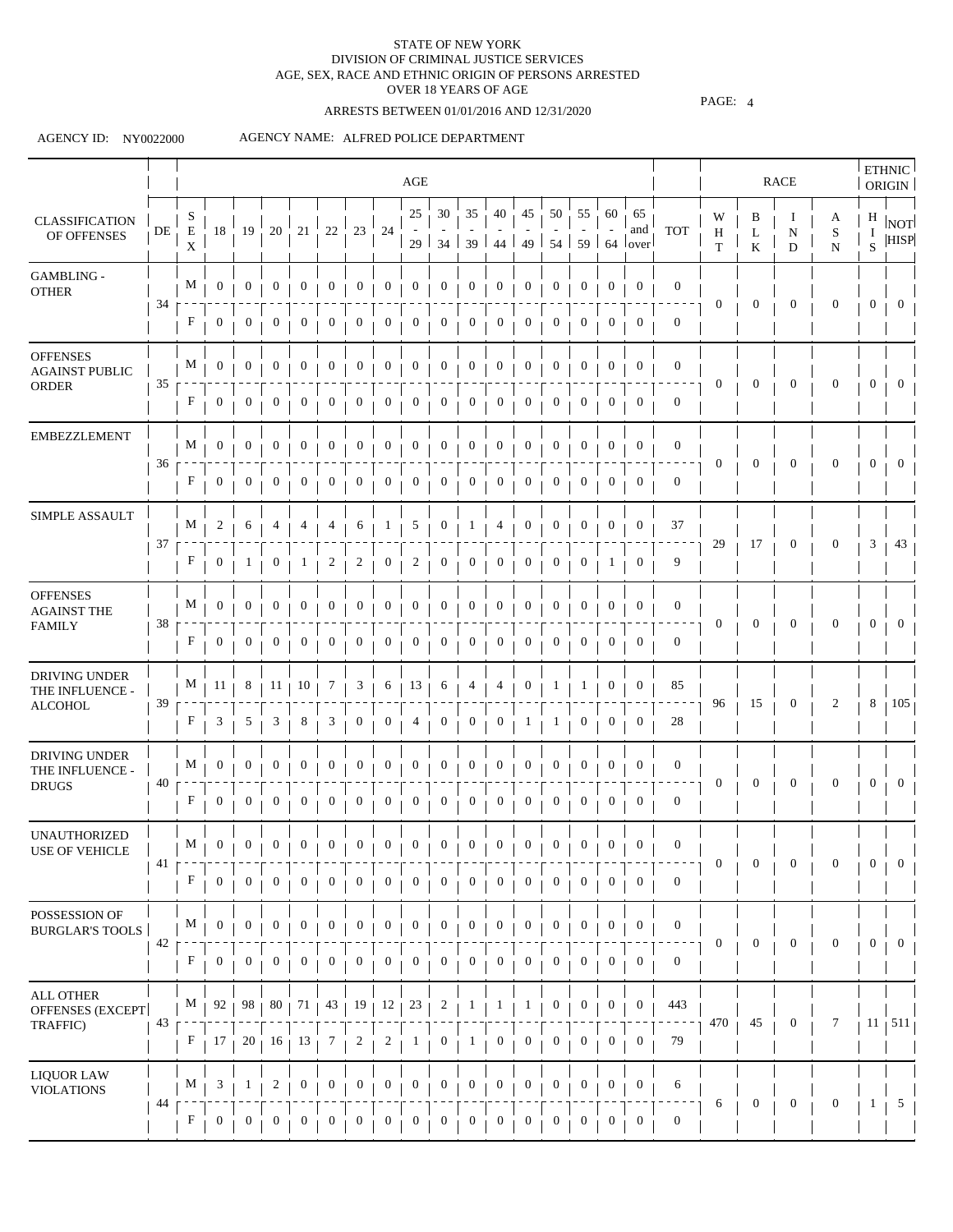# ARRESTS BETWEEN 01/01/2016 AND 12/31/2020

PAGE: 4

### AGENCY ID: NY0022000

|                                                          |    |                           |                  |                  |                  |                  |                  |                  |                  | AGE                   |                         |                         |                  |                  |                  |                  |                  |                                       |                  |                        |                  | RACE                   |                     |                       | <b>ETHNIC</b><br><b>ORIGIN</b> |
|----------------------------------------------------------|----|---------------------------|------------------|------------------|------------------|------------------|------------------|------------------|------------------|-----------------------|-------------------------|-------------------------|------------------|------------------|------------------|------------------|------------------|---------------------------------------|------------------|------------------------|------------------|------------------------|---------------------|-----------------------|--------------------------------|
| <b>CLASSIFICATION</b><br>OF OFFENSES                     | DE | S<br>E<br>X               | 18               | 19               | 20               | 21               | $22\,$           | 23               | 24               | 25<br>29 <sup>1</sup> | 30                      | 35<br>$34 \mid 39 \mid$ | 40<br>44         | 45               | 50               | 55               | 60               | 65<br>and<br>49   54   59   64   over | <b>TOT</b>       | W<br>$\, {\rm H}$<br>T | B<br>L<br>K      | Ι.<br>$\mathbf N$<br>D | A<br>S<br>${\bf N}$ | H<br>$\mathbf I$<br>S | NOT<br><b>HISP</b>             |
| GAMBLING -<br><b>OTHER</b>                               |    | M                         | $\mathbf{0}$     | $\boldsymbol{0}$ | $\overline{0}$   | $\boldsymbol{0}$ | 0                | $\mathbf{0}$     | $\boldsymbol{0}$ | $\mathbf{0}$          | $\mathbf{0}$            | $\boldsymbol{0}$        | $\mathbf{0}$     | $\boldsymbol{0}$ | $\mathbf{0}$     | $\mathbf{0}$     | 0                | $\mathbf{0}$                          | $\boldsymbol{0}$ |                        |                  |                        |                     |                       |                                |
|                                                          | 34 | F                         | $\overline{0}$   | $\mathbf{0}$     | $\sigma$         | $\mathbf{0}$     | $\mathbf{0}$     | $\bf{0}$         | $\mathbf{0}$     | $\boldsymbol{0}$      | $\overline{0}$          | $\mathbf{0}$            | $\overline{0}$   | $\overline{0}$   | $\mathbf{0}$     | $\mathbf{0}$     | $\mathbf{0}$     | $\mathbf{0}$                          | $\mathbf{0}$     | $\mathbf{0}$           | $\mathbf{0}$     | $\boldsymbol{0}$       | $\mathbf{0}$        | $\theta$              | $\bf{0}$                       |
| <b>OFFENSES</b><br><b>AGAINST PUBLIC</b><br><b>ORDER</b> | 35 | M                         | $\mathbf{0}$     | $\boldsymbol{0}$ | $\mathbf 0$      | $\boldsymbol{0}$ | 0                | $\boldsymbol{0}$ | $\boldsymbol{0}$ | $\boldsymbol{0}$      | $\boldsymbol{0}$        | $\mathbf{0}$            | $\boldsymbol{0}$ | $\boldsymbol{0}$ | $\mathbf{0}$     | $\mathbf 0$      | 0                | $\mathbf{0}$                          | $\boldsymbol{0}$ | $\boldsymbol{0}$       | $\boldsymbol{0}$ | $\boldsymbol{0}$       | $\theta$            | $\mathbf{0}$          | $\overline{0}$                 |
|                                                          |    | F                         | 0                | $\bf{0}$         |                  | $\boldsymbol{0}$ | 0                | $\mathbf 0$      | $\boldsymbol{0}$ | $\boldsymbol{0}$      | 0                       | 0                       | $\boldsymbol{0}$ | 0                | $\bf{0}$         | 0                | $\boldsymbol{0}$ | $\bf{0}$                              | $\boldsymbol{0}$ |                        |                  |                        |                     |                       |                                |
| <b>EMBEZZLEMENT</b>                                      |    | M                         | $\overline{0}$   | $\boldsymbol{0}$ | $\bf{0}$         | $\mathbf{0}$     | $\bf{0}$         | 0                | $\boldsymbol{0}$ | $\mathbf{0}$          | $\mathbf{0}$            | $\boldsymbol{0}$        | $\boldsymbol{0}$ | $\mathbf{0}$     | $\boldsymbol{0}$ | $\theta$         | $\bf{0}$         | $\bf{0}$                              | $\mathbf{0}$     |                        |                  |                        |                     |                       |                                |
|                                                          | 36 | F                         | $\theta$         | $\boldsymbol{0}$ | $\theta$         | $\mathbf{0}$     | $\boldsymbol{0}$ |                  | $\boldsymbol{0}$ | $\mathbf{0}$          | 0                       | 0                       | $\mathbf{0}$     | 0                | $\bf{0}$         |                  | 0                | $\bf{0}$                              | $\mathbf{0}$     | 0                      | $\mathbf{0}$     | $\mathbf{0}$           | 0                   | $\theta$              | $\theta$                       |
| SIMPLE ASSAULT                                           |    | M                         | 2                | 6                |                  |                  |                  | 6                | $\perp$          | 5                     | $\overline{0}$          | $\perp$                 | 4                | $\boldsymbol{0}$ | $\theta$         | 0                | $\boldsymbol{0}$ | 0                                     | 37               |                        |                  |                        |                     |                       |                                |
|                                                          | 37 | F                         | $\boldsymbol{0}$ | $\perp$          |                  |                  | 2                | 2                | $\theta$         | 2                     | 0                       | $\theta$                | $\bf{0}$         | 0                | $\boldsymbol{0}$ | 0                | 1                | $\theta$                              | 9                | 29                     | 17               | $\boldsymbol{0}$       | 0                   | 3                     | 43                             |
| <b>OFFENSES</b><br><b>AGAINST THE</b>                    | 38 | M                         | $\boldsymbol{0}$ | $\theta$         | $\bf{0}$         | $\mathbf 0$      | $\boldsymbol{0}$ | $\theta$         | $\theta$         | $\boldsymbol{0}$      | $\boldsymbol{0}$        | $\bf{0}$                | $\boldsymbol{0}$ | $\boldsymbol{0}$ | $\theta$         | 0                | $\theta$         | $\theta$                              | $\boldsymbol{0}$ | $\bf{0}$               | 0                | $\boldsymbol{0}$       | 0                   | 0                     | $\theta$                       |
| <b>FAMILY</b>                                            |    | F                         | $\bf{0}$         | $\overline{0}$   | 0                | $\mathbf{0}$     | 0                | $\mathbf 0$      | $\boldsymbol{0}$ | $\mathbf{0}$          | $\mathbf{0}$            | 0                       | $\mathbf{0}$     | 0                | $\mathbf{0}$     | $\boldsymbol{0}$ | 0                | $\boldsymbol{0}$                      | $\boldsymbol{0}$ |                        |                  |                        |                     |                       |                                |
| DRIVING UNDER<br>THE INFLUENCE -                         | 39 | M                         | 11               | 8                | 11               | 10               | 7                | 3                | 6                | 13                    | 6                       | 4                       | 4                | 0                |                  |                  | $\boldsymbol{0}$ | $\boldsymbol{0}$                      | 85               | 96                     | 15               | $\mathbf{0}$           | 2                   | 8                     | 105                            |
| <b>ALCOHOL</b>                                           |    | F                         | 3                | 5                | 3                | 8                | 3                | 0                | $\mathbf{0}$     | 4                     | $\mathbf{0}$            | 0                       | $\boldsymbol{0}$ |                  |                  | 0                | 0                | $\mathbf 0$                           | 28               |                        |                  |                        |                     |                       |                                |
| DRIVING UNDER<br>THE INFLUENCE -                         | 40 | M                         | $\overline{0}$   | $\boldsymbol{0}$ | 0                | $\boldsymbol{0}$ | $\boldsymbol{0}$ | $\mathbf{0}$     | $\boldsymbol{0}$ | $\mathbf{0}$          | $\overline{0}$          | $\boldsymbol{0}$        | $\boldsymbol{0}$ | $\boldsymbol{0}$ | $\mathbf{0}$     | $\bf{0}$         | $\boldsymbol{0}$ | $\mathbf{0}$                          | $\mathbf{0}$     | $\mathbf{0}$           | $\overline{0}$   | $\mathbf{0}$           | $\mathbf{0}$        | $\overline{0}$        | $\Omega$                       |
| <b>DRUGS</b>                                             |    | F                         | $\overline{0}$   | $\overline{0}$   | $\bf{0}$         | $\mathbf{0}$     | $\mathbf{0}$     | $\bf{0}$         | $\mathbf{0}$     | $\overline{0}$        | $\overline{0}$          | 0                       | $\mathbf{0}$     | $\overline{0}$   | $\mathbf{0}$     | $\bf{0}$         | $\mathbf{0}$     | $\mathbf 0$                           | $\mathbf{0}$     |                        |                  |                        |                     |                       |                                |
| <b>UNAUTHORIZED</b><br><b>USE OF VEHICLE</b>             | 41 |                           |                  |                  |                  |                  |                  |                  |                  |                       |                         |                         |                  |                  |                  |                  |                  |                                       | $\mathbf{0}$     | $\mathbf{0}$           | $\boldsymbol{0}$ | $\boldsymbol{0}$       | $\boldsymbol{0}$    | $\mathbf{0}$          | $\overline{0}$                 |
|                                                          |    | F                         | $\overline{0}$   | $\overline{0}$   | $\boldsymbol{0}$ | $\overline{0}$   | $\mathbf{0}$     | $\overline{0}$   | $\overline{0}$   | $\boldsymbol{0}$      | $\boldsymbol{0}$        | $\boldsymbol{0}$        | $\overline{0}$   | $\overline{0}$   | $\boldsymbol{0}$ | $\overline{0}$   | $\overline{0}$   | $\overline{0}$                        | $\mathbf{0}$     |                        |                  |                        |                     |                       |                                |
| POSSESSION OF<br><b>BURGLAR'S TOOLS</b>                  | 42 | M                         | $\mathbf{0}$     | $\mathbf{0}$     | $\boldsymbol{0}$ | $\boldsymbol{0}$ | $\boldsymbol{0}$ | $\mathbf{0}$     | $\boldsymbol{0}$ | $\boldsymbol{0}$      | $\boldsymbol{0}$        | $\boldsymbol{0}$        | $\boldsymbol{0}$ | $\boldsymbol{0}$ | $\boldsymbol{0}$ | $\mathbf{0}$     | $\boldsymbol{0}$ | $\mathbf{0}$                          | $\boldsymbol{0}$ | $\boldsymbol{0}$       | $\overline{0}$   | $\mathbf{0}$           | $\mathbf{0}$        | $\mathbf{0}$          | $\overline{0}$                 |
|                                                          |    | $\boldsymbol{\mathrm{F}}$ | $\overline{0}$   | $\overline{0}$   | $\overline{0}$   | $\mathbf{0}$     | $\boldsymbol{0}$ | $\mathbf{0}$     | $\mathbf{0}$     | $\boldsymbol{0}$      | $\overline{0}$          | $\boldsymbol{0}$        | $\mathbf{0}$     | $\boldsymbol{0}$ | $\mathbf{0}$     | $\boldsymbol{0}$ | $\overline{0}$   | $\boldsymbol{0}$                      | $\boldsymbol{0}$ |                        |                  |                        |                     |                       |                                |
| ALL OTHER<br>OFFENSES (EXCEPT                            | 43 | $M_{\perp}$               | 92 <sub>1</sub>  | 98 <sub>1</sub>  |                  | $80 + 71$        |                  | $43 + 19 + 12 +$ |                  | 23                    | $\overline{\mathbf{c}}$ | $\mathbf{1}$            | 1                | 1                | $\bf{0}$         | $\bf{0}$         | 0                | $\boldsymbol{0}$                      | 443              | 470                    | 45               | $\boldsymbol{0}$       | 7                   |                       | $11 + 511$                     |
| TRAFFIC)                                                 |    | F                         | 17 <sub>1</sub>  | 20 <sub>1</sub>  |                  | $16 + 13$        | 7                | 2                | $\overline{c}$   | 1                     | $\mathbf{0}$            | 1                       | $\mathbf{0}$     | $\mathbf{0}$     | $\mathbf{0}$     | $\overline{0}$   | $\boldsymbol{0}$ | $\boldsymbol{0}$                      | 79               |                        |                  |                        |                     |                       |                                |
| <b>LIQUOR LAW</b><br><b>VIOLATIONS</b>                   |    | M                         | 3                | 1                | 2                | $\boldsymbol{0}$ | $\boldsymbol{0}$ | $\boldsymbol{0}$ | $\boldsymbol{0}$ | $\boldsymbol{0}$      | $\boldsymbol{0}$        | $\boldsymbol{0}$        | $\boldsymbol{0}$ | $\boldsymbol{0}$ | $\boldsymbol{0}$ | $\boldsymbol{0}$ | $\boldsymbol{0}$ | $\mathbf{0}$                          | 6                |                        | $\boldsymbol{0}$ | $\boldsymbol{0}$       | $\mathbf{0}$        | 1                     | $5\overline{)}$                |
|                                                          | 44 | F                         | 0                | 0                | 0                | $\boldsymbol{0}$ | 0                | 0                | $\boldsymbol{0}$ | $\boldsymbol{0}$      | $\boldsymbol{0}$        | 0                       | $\boldsymbol{0}$ | $\boldsymbol{0}$ | $\boldsymbol{0}$ | 0                | $\boldsymbol{0}$ | $\boldsymbol{0}$                      | $\boldsymbol{0}$ | 6                      |                  |                        |                     |                       |                                |